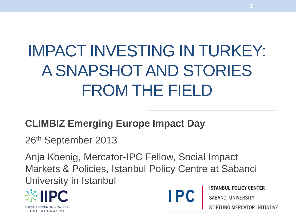# IMPACT INVESTING IN TURKEY: A SNAPSHOT AND STORIES FROM THE FIELD

#### **CLIMBIZ Emerging Europe Impact Day**

26th September 2013

Anja Koenig, Mercator-IPC Fellow, Social Impact Markets & Policies, Istanbul Policy Centre at Sabanci University in Istanbul





**ISTANBUL POLICY CENTER** 

**SABANCI UNIVERSITY**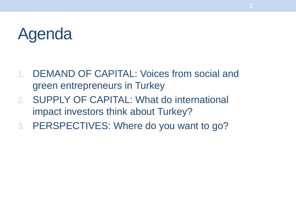## Agenda

- 1. DEMAND OF CAPITAL: Voices from social and green entrepreneurs in Turkey
- 2. SUPPLY OF CAPITAL: What do international impact investors think about Turkey?
- 3. PERSPECTIVES: Where do you want to go?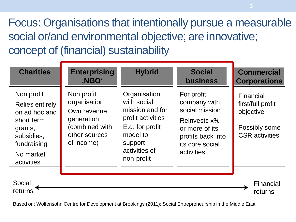#### Focus: Organisations that intentionally pursue a measurable social or/and environmental objective; are innovative; concept of (financial) sustainability

| <b>Charities</b>                                                                                                                       | <b>Enterprising</b><br>,NGO <sup>®</sup>                                                                 | <b>Hybrid</b>                                                                                                                                | <b>Social</b><br><b>business</b>                                                                                                     | <b>Commercial</b><br><b>Corporations</b>                                              |
|----------------------------------------------------------------------------------------------------------------------------------------|----------------------------------------------------------------------------------------------------------|----------------------------------------------------------------------------------------------------------------------------------------------|--------------------------------------------------------------------------------------------------------------------------------------|---------------------------------------------------------------------------------------|
| Non profit<br><b>Relies entirely</b><br>on ad hoc and<br>short term<br>grants,<br>subsidies,<br>fundraising<br>No market<br>activities | Non profit<br>organisation<br>Own revenue<br>generation<br>(combined with<br>other sources<br>of income) | Organisation<br>with social<br>mission and for<br>profit activities<br>E.g. for profit<br>model to<br>support<br>activities of<br>non-profit | For profit<br>company with<br>social mission<br>Reinvests x%<br>or more of its<br>profits back into<br>its core social<br>activities | Financial<br>first/full profit<br>objective<br>Possibly some<br><b>CSR</b> activities |
| Social<br>returns                                                                                                                      |                                                                                                          |                                                                                                                                              |                                                                                                                                      | Financial<br>returns                                                                  |

Based on: Wolfensohn Centre for Development at Brookings (2011): Social Entrepreneurship in the Middle East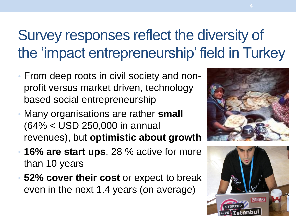## Survey responses reflect the diversity of the 'impact entrepreneurship' field in Turkey

- From deep roots in civil society and nonprofit versus market driven, technology based social entrepreneurship
- Many organisations are rather **small**  (64% < USD 250,000 in annual revenues), but **optimistic about growth**
- **16% are start ups**, 28 % active for more than 10 years
- **52% cover their cost** or expect to break even in the next 1.4 years (on average)



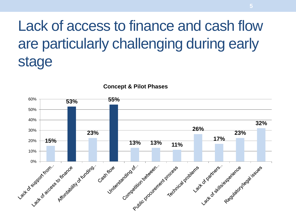### Lack of access to finance and cash flow are particularly challenging during early stage



**Concept & Pilot Phases**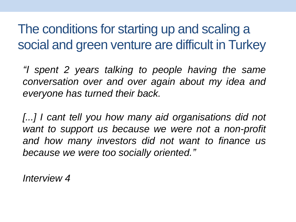The conditions for starting up and scaling a social and green venture are difficult in Turkey

*"I spent 2 years talking to people having the same conversation over and over again about my idea and everyone has turned their back.*

*[...] I cant tell you how many aid organisations did not want to support us because we were not a non-profit and how many investors did not want to finance us because we were too socially oriented."*

*Interview 4*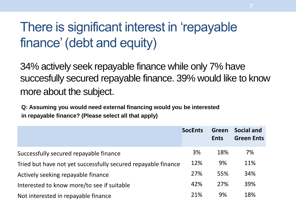#### There is significant interest in 'repayable finance' (debt and equity)

34% actively seek repayable finance while only 7% have succesfully secured repayable finance. 39% would like to know more about the subject.

**Q: Assuming you would need external financing would you be interested in repayable finance? (Please select all that apply)**

|                                                               | <b>SocEnts</b> | Green<br><b>Ents</b> | <b>Social and</b><br><b>Green Ents</b> |
|---------------------------------------------------------------|----------------|----------------------|----------------------------------------|
| Successfully secured repayable finance                        | 3%             | 18%                  | 7%                                     |
| Tried but have not yet successfully secured repayable finance |                | 9%                   | 11%                                    |
| Actively seeking repayable finance                            |                | 55%                  | 34%                                    |
| Interested to know more/to see if suitable                    |                | 27%                  | 39%                                    |
| Not interested in repayable finance                           |                | 9%                   | 18%                                    |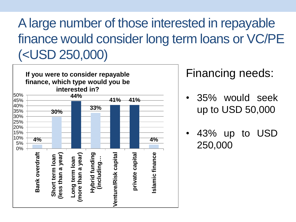#### Alarge number of those interested in repayable finance would consider long term loans or VC/PE (<USD 250,000)



#### Financing needs:

- 35% would seek up to USD 50,000
- 43% up to USD 250,000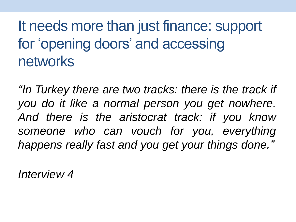### It needs more than just finance: support for 'opening doors' and accessing networks

*"In Turkey there are two tracks: there is the track if you do it like a normal person you get nowhere. And there is the aristocrat track: if you know someone who can vouch for you, everything happens really fast and you get your things done."*

*Interview 4*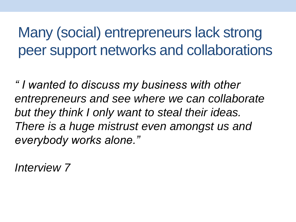Many (social) entrepreneurs lack strong peer support networks and collaborations

*" I wanted to discuss my business with other entrepreneurs and see where we can collaborate but they think I only want to steal their ideas. There is a huge mistrust even amongst us and everybody works alone."*

*Interview 7*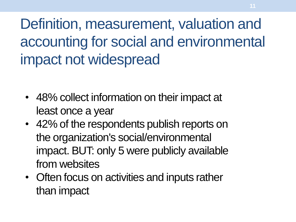Definition, measurement, valuation and accounting for social and environmental impact not widespread

- 48% collect information on their impact at least once a year
- 42% of the respondents publish reports on the organization's social/environmental impact. BUT: only 5 were publicly available from websites
- Often focus on activities and inputs rather than impact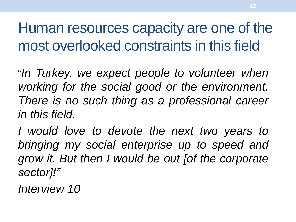Human resources capacity are one of the most overlooked constraints in this field

"*In Turkey, we expect people to volunteer when working for the social good or the environment. There is no such thing as a professional career in this field.*

*I would love to devote the next two years to bringing my social enterprise up to speed and grow it. But then I would be out [of the corporate sector]!"*

*Interview 10*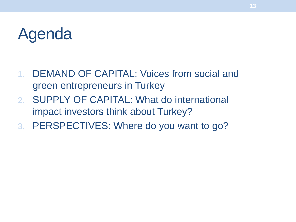## Agenda

- 1. DEMAND OF CAPITAL: Voices from social and green entrepreneurs in Turkey
- 2. SUPPLY OF CAPITAL: What do international impact investors think about Turkey?
- 3. PERSPECTIVES: Where do you want to go?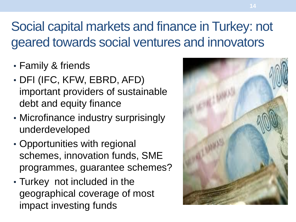#### Social capital markets and finance in Turkey: not geared towards social ventures and innovators

- Family & friends
- DFI (IFC, KFW, EBRD, AFD) important providers of sustainable debt and equity finance
- Microfinance industry surprisingly underdeveloped
- Opportunities with regional schemes, innovation funds, SME programmes, guarantee schemes?
- Turkey not included in the geographical coverage of most impact investing funds

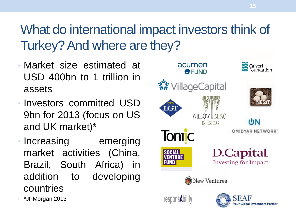#### What do international impact investors think of Turkey? And where are they?

- Market size estimated at USD 400bn to 1 trillion in assets
- Investors committed USD 9bn for 2013 (focus on US and UK market)\*
- Increasing emerging market activities (China, Brazil, South Africa) in addition to developing countries

• \*JPMorgan 2013



**15**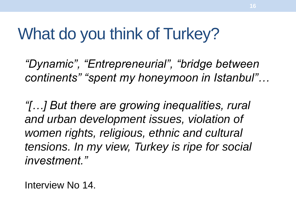## What do you think of Turkey?

*"Dynamic", "Entrepreneurial", "bridge between continents" "spent my honeymoon in Istanbul"…*

*"[…] But there are growing inequalities, rural and urban development issues, violation of women rights, religious, ethnic and cultural tensions. In my view, Turkey is ripe for social investment."*

Interview No 14.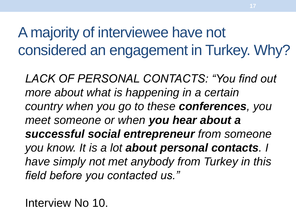A majority of interviewee have not considered an engagement in Turkey. Why?

*LACK OF PERSONAL CONTACTS: "You find out more about what is happening in a certain country when you go to these conferences, you meet someone or when you hear about a successful social entrepreneur from someone you know. It is a lot about personal contacts. I have simply not met anybody from Turkey in this field before you contacted us."*

Interview No 10.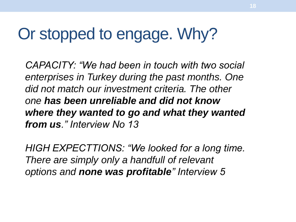## Or stopped to engage. Why?

*CAPACITY: "We had been in touch with two social enterprises in Turkey during the past months. One did not match our investment criteria. The other one has been unreliable and did not know where they wanted to go and what they wanted from us." Interview No 13*

*HIGH EXPECTTIONS: "We looked for a long time. There are simply only a handfull of relevant options and none was profitable" Interview 5*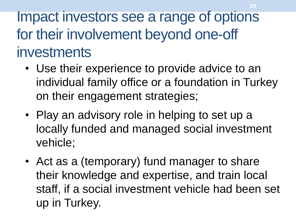Impact investors see a range of options for their involvement beyond one-off investments

- Use their experience to provide advice to an individual family office or a foundation in Turkey on their engagement strategies;
- Play an advisory role in helping to set up a locally funded and managed social investment vehicle;
- Act as a (temporary) fund manager to share their knowledge and expertise, and train local staff, if a social investment vehicle had been set up in Turkey.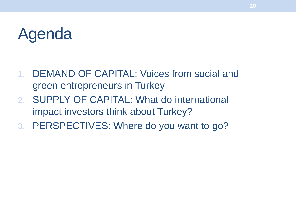## Agenda

- 1. DEMAND OF CAPITAL: Voices from social and green entrepreneurs in Turkey
- 2. SUPPLY OF CAPITAL: What do international impact investors think about Turkey?
- 3. PERSPECTIVES: Where do you want to go?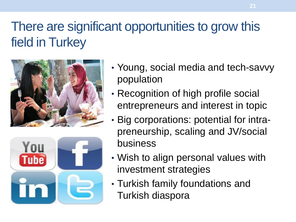#### There are significant opportunities to grow this field in Turkey





- Young, social media and tech-savvy population
- Recognition of high profile social entrepreneurs and interest in topic
- Big corporations: potential for intrapreneurship, scaling and JV/social business
- Wish to align personal values with investment strategies
- Turkish family foundations and Turkish diaspora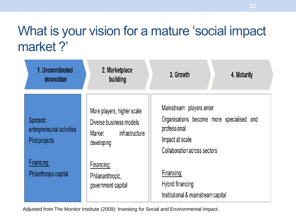#### What is your vision for a mature 'social impact market ?'

| 1. Uncoordinated<br>innovation                           | 2. Marketplace<br>building                                                                      | 3. Growth<br>4. Maturity                                                                                                                 |
|----------------------------------------------------------|-------------------------------------------------------------------------------------------------|------------------------------------------------------------------------------------------------------------------------------------------|
| Sporadic<br>entrepreneurial activities<br>Pilot projects | More players, higher scale<br>Diverse business models<br>infrastructure<br>Market<br>developing | Mainstream players enter<br>Organisations become more specialised and<br>professional<br>Impact at scale<br>Collaboration across sectors |
| Financing:<br>Philanthropic capital                      | Financing:<br>Philananthropic,<br>government capital                                            | Financing:<br>Hybrid financing<br>Institutional & mainstream capital                                                                     |

Adjusted from The Monitor Institute (2009): Investing for Social and Environmental Impact.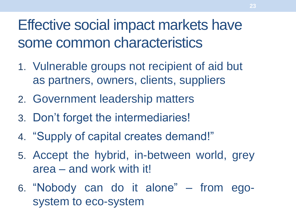Effective social impact markets have some common characteristics

- 1. Vulnerable groups not recipient of aid but as partners, owners, clients, suppliers
- 2. Government leadership matters
- 3. Don't forget the intermediaries!
- 4. "Supply of capital creates demand!"
- 5. Accept the hybrid, in-between world, grey area – and work with it!
- 6. "Nobody can do it alone" from egosystem to eco-system